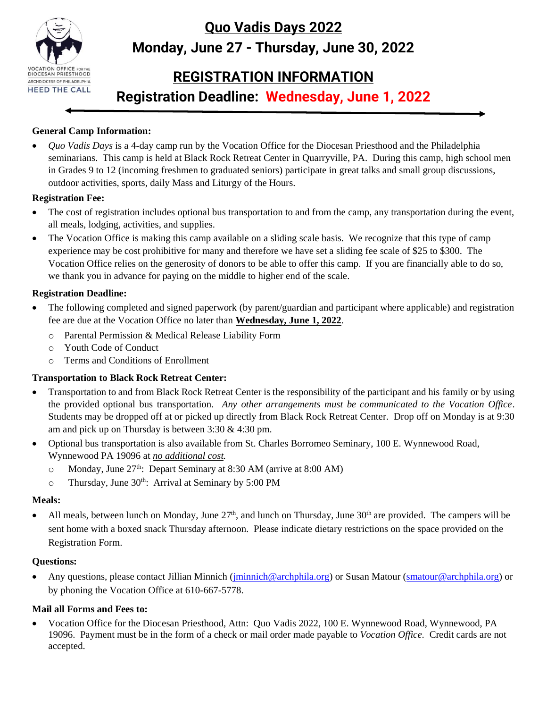

# **Quo Vadis Days 2022 Monday, June 27 - Thursday, June 30, 2022**

# **REGISTRATION INFORMATION**

**Registration Deadline: Wednesday, June 1, 2022**

## **General Camp Information:**

• *Quo Vadis Days* is a 4-day camp run by the Vocation Office for the Diocesan Priesthood and the Philadelphia seminarians. This camp is held at Black Rock Retreat Center in Quarryville, PA. During this camp, high school men in Grades 9 to 12 (incoming freshmen to graduated seniors) participate in great talks and small group discussions, outdoor activities, sports, daily Mass and Liturgy of the Hours.

### **Registration Fee:**

- The cost of registration includes optional bus transportation to and from the camp, any transportation during the event, all meals, lodging, activities, and supplies.
- The Vocation Office is making this camp available on a sliding scale basis. We recognize that this type of camp experience may be cost prohibitive for many and therefore we have set a sliding fee scale of \$25 to \$300. The Vocation Office relies on the generosity of donors to be able to offer this camp. If you are financially able to do so, we thank you in advance for paying on the middle to higher end of the scale.

## **Registration Deadline:**

- The following completed and signed paperwork (by parent/guardian and participant where applicable) and registration fee are due at the Vocation Office no later than **Wednesday, June 1, 2022**.
	- o Parental Permission & Medical Release Liability Form
	- o Youth Code of Conduct
	- o Terms and Conditions of Enrollment

## **Transportation to Black Rock Retreat Center:**

- Transportation to and from Black Rock Retreat Center is the responsibility of the participant and his family or by using the provided optional bus transportation. *Any other arrangements must be communicated to the Vocation Office*. Students may be dropped off at or picked up directly from Black Rock Retreat Center. Drop off on Monday is at 9:30 am and pick up on Thursday is between 3:30 & 4:30 pm.
- Optional bus transportation is also available from St. Charles Borromeo Seminary, 100 E. Wynnewood Road, Wynnewood PA 19096 at *no additional cost.*
	- o Monday, June 27<sup>th</sup>: Depart Seminary at 8:30 AM (arrive at 8:00 AM)
	- $\circ$  Thursday, June 30<sup>th</sup>: Arrival at Seminary by 5:00 PM

### **Meals:**

• All meals, between lunch on Monday, June  $27<sup>th</sup>$ , and lunch on Thursday, June  $30<sup>th</sup>$  are provided. The campers will be sent home with a boxed snack Thursday afternoon. Please indicate dietary restrictions on the space provided on the Registration Form.

### **Questions:**

• Any questions, please contact Jillian Minnich (*jminnich@archphila.org*) or Susan Matour [\(smatour@archphila.org\)](mailto:smatour@archphila.org) or by phoning the Vocation Office at 610-667-5778.

## **Mail all Forms and Fees to:**

• Vocation Office for the Diocesan Priesthood, Attn: Quo Vadis 2022, 100 E. Wynnewood Road, Wynnewood, PA 19096. Payment must be in the form of a check or mail order made payable to *Vocation Office.* Credit cards are not accepted.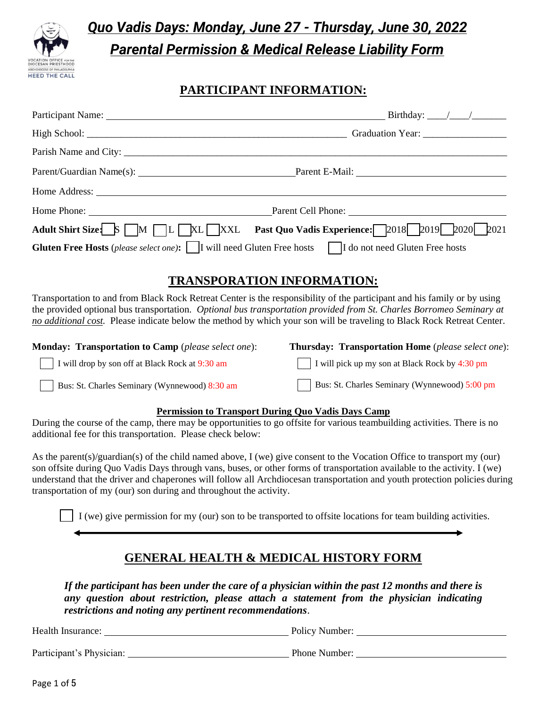

# *Quo Vadis Days: Monday, June 27 - Thursday, June 30, 2022 Parental Permission & Medical Release Liability Form*

# **PARTICIPANT INFORMATION:**

| Parent/Guardian Name(s): Parent E-Mail: Parent E-Mail:                                                                                                                                                                                                                                                                                                                                                                                                     |                                                                                                              |
|------------------------------------------------------------------------------------------------------------------------------------------------------------------------------------------------------------------------------------------------------------------------------------------------------------------------------------------------------------------------------------------------------------------------------------------------------------|--------------------------------------------------------------------------------------------------------------|
|                                                                                                                                                                                                                                                                                                                                                                                                                                                            |                                                                                                              |
| Home Phone: <u>New York: Parent Cell Phone:</u> Parent Cell Phone: New York: New York: New York: New York: New York: New York: New York: New York: New York: New York: New York: New York: New York: New York: New York: New York:                                                                                                                                                                                                                         |                                                                                                              |
| Adult Shirt Size S M L XL XXL Past Quo Vadis Experience: 2018 2019 2020 2021                                                                                                                                                                                                                                                                                                                                                                               |                                                                                                              |
| <b>Gluten Free Hosts</b> (please select one): $\Box$ I will need Gluten Free hosts $\Box$ I do not need Gluten Free hosts                                                                                                                                                                                                                                                                                                                                  |                                                                                                              |
| <b>TRANSPORATION INFORMATION:</b>                                                                                                                                                                                                                                                                                                                                                                                                                          |                                                                                                              |
| Transportation to and from Black Rock Retreat Center is the responsibility of the participant and his family or by using<br>the provided optional bus transportation. Optional bus transportation provided from St. Charles Borromeo Seminary at<br>no additional cost. Please indicate below the method by which your son will be traveling to Black Rock Retreat Center.                                                                                 |                                                                                                              |
| <b>Monday: Transportation to Camp</b> (please select one):                                                                                                                                                                                                                                                                                                                                                                                                 | Thursday: Transportation Home (please select one):                                                           |
| I will drop by son off at Black Rock at 9:30 am                                                                                                                                                                                                                                                                                                                                                                                                            | I will pick up my son at Black Rock by 4:30 pm                                                               |
| Bus: St. Charles Seminary (Wynnewood) 8:30 am                                                                                                                                                                                                                                                                                                                                                                                                              | Bus: St. Charles Seminary (Wynnewood) 5:00 pm                                                                |
| <b>Permission to Transport During Quo Vadis Days Camp</b><br>During the course of the camp, there may be opportunities to go offsite for various teambuilding activities. There is no<br>additional fee for this transportation. Please check below:                                                                                                                                                                                                       |                                                                                                              |
| As the parent(s)/guardian(s) of the child named above, $I$ (we) give consent to the Vocation Office to transport my (our)<br>son offsite during Quo Vadis Days through vans, buses, or other forms of transportation available to the activity. I (we)<br>understand that the driver and chaperones will follow all Archdiocesan transportation and youth protection policies during<br>transportation of my (our) son during and throughout the activity. |                                                                                                              |
|                                                                                                                                                                                                                                                                                                                                                                                                                                                            | I (we) give permission for my (our) son to be transported to offsite locations for team building activities. |

# **GENERAL HEALTH & MEDICAL HISTORY FORM**

*If the participant has been under the care of a physician within the past 12 months and there is any question about restriction, please attach a statement from the physician indicating restrictions and noting any pertinent recommendations*.

Health Insurance: Policy Number: Policy Number:

Participant's Physician: Departicipant's Physician: Phone Number: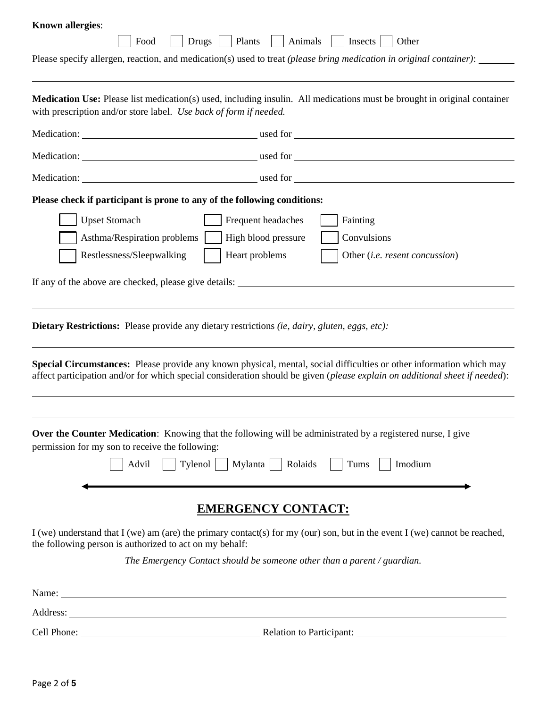| <b>Known allergies:</b>                                                                                                                                                                                                                             |
|-----------------------------------------------------------------------------------------------------------------------------------------------------------------------------------------------------------------------------------------------------|
| Drugs   Plants   Animals<br>Insects<br>Food<br>Other                                                                                                                                                                                                |
| Please specify allergen, reaction, and medication(s) used to treat (please bring medication in original container):                                                                                                                                 |
| <b>Medication Use:</b> Please list medication(s) used, including insulin. All medications must be brought in original container<br>with prescription and/or store label. Use back of form if needed.                                                |
|                                                                                                                                                                                                                                                     |
|                                                                                                                                                                                                                                                     |
|                                                                                                                                                                                                                                                     |
| Please check if participant is prone to any of the following conditions:                                                                                                                                                                            |
| <b>Upset Stomach</b><br>Frequent headaches<br>Fainting                                                                                                                                                                                              |
| Convulsions<br>High blood pressure<br>Asthma/Respiration problems                                                                                                                                                                                   |
| Restlessness/Sleepwalking<br>Heart problems<br>Other (i.e. resent concussion)                                                                                                                                                                       |
|                                                                                                                                                                                                                                                     |
| If any of the above are checked, please give details: ___________________________                                                                                                                                                                   |
|                                                                                                                                                                                                                                                     |
| <b>Dietary Restrictions:</b> Please provide any dietary restrictions <i>(ie, dairy, gluten, eggs, etc)</i> :                                                                                                                                        |
| Special Circumstances: Please provide any known physical, mental, social difficulties or other information which may<br>affect participation and/or for which special consideration should be given (please explain on additional sheet if needed): |
|                                                                                                                                                                                                                                                     |
| Over the Counter Medication: Knowing that the following will be administrated by a registered nurse, I give<br>permission for my son to receive the following:                                                                                      |
| Tylenol   Mylanta   Rolaids<br>Advil<br>Tums<br>Imodium                                                                                                                                                                                             |
| <b>EMERGENCY CONTACT:</b>                                                                                                                                                                                                                           |
| I (we) understand that I (we) am (are) the primary contact(s) for my (our) son, but in the event I (we) cannot be reached,<br>the following person is authorized to act on my behalf:                                                               |
| The Emergency Contact should be someone other than a parent / guardian.                                                                                                                                                                             |
|                                                                                                                                                                                                                                                     |
| <u> 1989 - Johann Barnett, fransk politik (d. 1989)</u><br>Address:                                                                                                                                                                                 |

Cell Phone: Relation to Participant: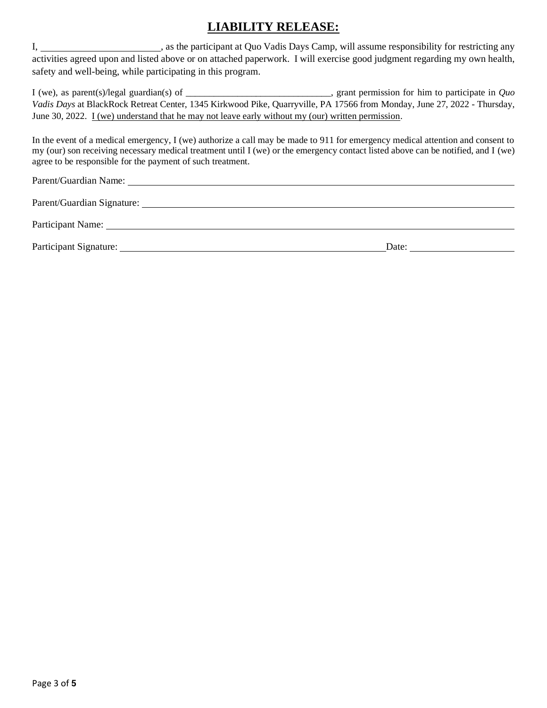# **LIABILITY RELEASE:**

I, \_\_\_\_\_\_\_\_\_\_\_\_\_\_\_\_\_\_\_\_\_, as the participant at Quo Vadis Days Camp, will assume responsibility for restricting any activities agreed upon and listed above or on attached paperwork. I will exercise good judgment regarding my own health, safety and well-being, while participating in this program.

I (we), as parent(s)/legal guardian(s) of \_\_\_\_\_\_\_\_\_\_\_\_\_\_\_\_\_\_\_\_\_\_\_\_\_\_\_\_\_\_\_, grant permission for him to participate in *Quo Vadis Days* at BlackRock Retreat Center, 1345 Kirkwood Pike, Quarryville, PA 17566 from Monday, June 27, 2022 - Thursday, June 30, 2022. I (we) understand that he may not leave early without my (our) written permission.

In the event of a medical emergency, I (we) authorize a call may be made to 911 for emergency medical attention and consent to my (our) son receiving necessary medical treatment until I (we) or the emergency contact listed above can be notified, and I (we) agree to be responsible for the payment of such treatment.

Parent/Guardian Name:

Parent/Guardian Signature:

Participant Name:

Participant Signature: Date: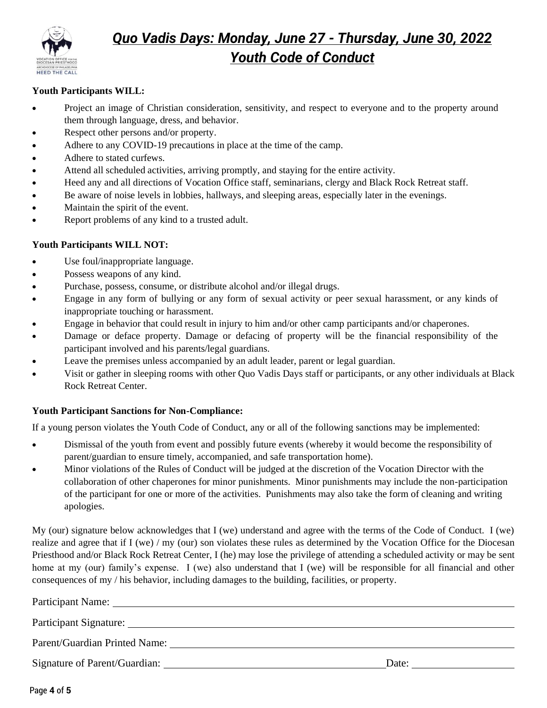

# *Quo Vadis Days: Monday, June 27 - Thursday, June 30, 2022 Youth Code of Conduct*

### **Youth Participants WILL:**

- Project an image of Christian consideration, sensitivity, and respect to everyone and to the property around them through language, dress, and behavior.
- Respect other persons and/or property.
- Adhere to any COVID-19 precautions in place at the time of the camp.
- Adhere to stated curfews.
- Attend all scheduled activities, arriving promptly, and staying for the entire activity.
- Heed any and all directions of Vocation Office staff, seminarians, clergy and Black Rock Retreat staff.
- Be aware of noise levels in lobbies, hallways, and sleeping areas, especially later in the evenings.
- Maintain the spirit of the event.
- Report problems of any kind to a trusted adult.

#### **Youth Participants WILL NOT:**

- Use foul/inappropriate language.
- Possess weapons of any kind.
- Purchase, possess, consume, or distribute alcohol and/or illegal drugs.
- Engage in any form of bullying or any form of sexual activity or peer sexual harassment, or any kinds of inappropriate touching or harassment.
- Engage in behavior that could result in injury to him and/or other camp participants and/or chaperones.
- Damage or deface property. Damage or defacing of property will be the financial responsibility of the participant involved and his parents/legal guardians.
- Leave the premises unless accompanied by an adult leader, parent or legal guardian.
- Visit or gather in sleeping rooms with other Quo Vadis Days staff or participants, or any other individuals at Black Rock Retreat Center.

#### **Youth Participant Sanctions for Non-Compliance:**

If a young person violates the Youth Code of Conduct, any or all of the following sanctions may be implemented:

- Dismissal of the youth from event and possibly future events (whereby it would become the responsibility of parent/guardian to ensure timely, accompanied, and safe transportation home).
- Minor violations of the Rules of Conduct will be judged at the discretion of the Vocation Director with the collaboration of other chaperones for minor punishments. Minor punishments may include the non-participation of the participant for one or more of the activities. Punishments may also take the form of cleaning and writing apologies.

My (our) signature below acknowledges that I (we) understand and agree with the terms of the Code of Conduct. I (we) realize and agree that if I (we) / my (our) son violates these rules as determined by the Vocation Office for the Diocesan Priesthood and/or Black Rock Retreat Center, I (he) may lose the privilege of attending a scheduled activity or may be sent home at my (our) family's expense. I (we) also understand that I (we) will be responsible for all financial and other consequences of my / his behavior, including damages to the building, facilities, or property.

| Participant Name:             |       |
|-------------------------------|-------|
|                               |       |
|                               |       |
| Signature of Parent/Guardian: | Date: |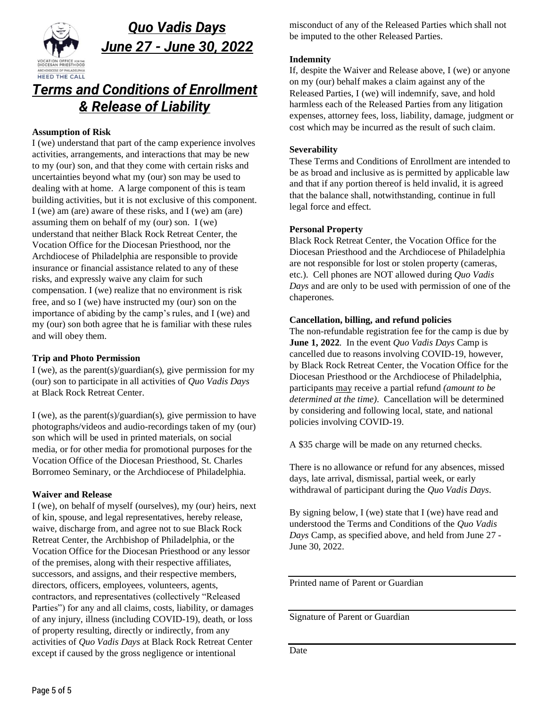

# *Quo Vadis Days June 27 - June 30, 2022*

# *Terms and Conditions of Enrollment & Release of Liability*

#### **Assumption of Risk**

I (we) understand that part of the camp experience involves activities, arrangements, and interactions that may be new to my (our) son, and that they come with certain risks and uncertainties beyond what my (our) son may be used to dealing with at home. A large component of this is team building activities, but it is not exclusive of this component. I (we) am (are) aware of these risks, and I (we) am (are) assuming them on behalf of my (our) son. I (we) understand that neither Black Rock Retreat Center, the Vocation Office for the Diocesan Priesthood, nor the Archdiocese of Philadelphia are responsible to provide insurance or financial assistance related to any of these risks, and expressly waive any claim for such compensation. I (we) realize that no environment is risk free, and so I (we) have instructed my (our) son on the importance of abiding by the camp's rules, and I (we) and my (our) son both agree that he is familiar with these rules and will obey them.

#### **Trip and Photo Permission**

I (we), as the parent(s)/guardian(s), give permission for my (our) son to participate in all activities of *Quo Vadis Days* at Black Rock Retreat Center.

I (we), as the parent(s)/guardian(s), give permission to have photographs/videos and audio-recordings taken of my (our) son which will be used in printed materials, on social media, or for other media for promotional purposes for the Vocation Office of the Diocesan Priesthood, St. Charles Borromeo Seminary, or the Archdiocese of Philadelphia.

### **Waiver and Release**

I (we), on behalf of myself (ourselves), my (our) heirs, next of kin, spouse, and legal representatives, hereby release, waive, discharge from, and agree not to sue Black Rock Retreat Center, the Archbishop of Philadelphia, or the Vocation Office for the Diocesan Priesthood or any lessor of the premises, along with their respective affiliates, successors, and assigns, and their respective members, directors, officers, employees, volunteers, agents, contractors, and representatives (collectively "Released Parties") for any and all claims, costs, liability, or damages of any injury, illness (including COVID-19), death, or loss of property resulting, directly or indirectly, from any activities of *Quo Vadis Days* at Black Rock Retreat Center except if caused by the gross negligence or intentional

misconduct of any of the Released Parties which shall not be imputed to the other Released Parties.

#### **Indemnity**

If, despite the Waiver and Release above, I (we) or anyone on my (our) behalf makes a claim against any of the Released Parties, I (we) will indemnify, save, and hold harmless each of the Released Parties from any litigation expenses, attorney fees, loss, liability, damage, judgment or cost which may be incurred as the result of such claim.

#### **Severability**

These Terms and Conditions of Enrollment are intended to be as broad and inclusive as is permitted by applicable law and that if any portion thereof is held invalid, it is agreed that the balance shall, notwithstanding, continue in full legal force and effect.

#### **Personal Property**

Black Rock Retreat Center, the Vocation Office for the Diocesan Priesthood and the Archdiocese of Philadelphia are not responsible for lost or stolen property (cameras, etc.). Cell phones are NOT allowed during *Quo Vadis Days* and are only to be used with permission of one of the chaperones.

#### **Cancellation, billing, and refund policies**

The non-refundable registration fee for the camp is due by **June 1, 2022**. In the event *Quo Vadis Days* Camp is cancelled due to reasons involving COVID-19, however, by Black Rock Retreat Center, the Vocation Office for the Diocesan Priesthood or the Archdiocese of Philadelphia, participants may receive a partial refund *(amount to be determined at the time)*. Cancellation will be determined by considering and following local, state, and national policies involving COVID-19.

A \$35 charge will be made on any returned checks.

There is no allowance or refund for any absences, missed days, late arrival, dismissal, partial week, or early withdrawal of participant during the *Quo Vadis Days*.

By signing below, I (we) state that I (we) have read and understood the Terms and Conditions of the *Quo Vadis Days* Camp, as specified above, and held from June 27 - June 30, 2022.

Printed name of Parent or Guardian

Signature of Parent or Guardian

Date